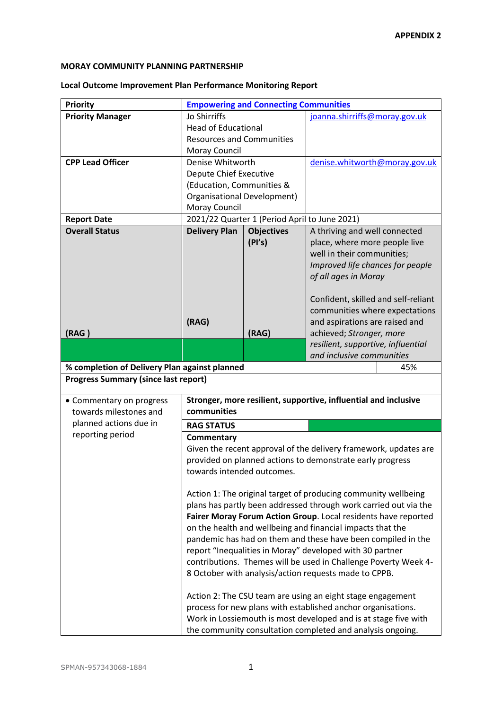## **MORAY COMMUNITY PLANNING PARTNERSHIP**

## **Local Outcome Improvement Plan Performance Monitoring Report**

| <b>Priority</b>                                                                                                                                                                              | <b>Empowering and Connecting Communities</b>                                   |                                                            |                                     |  |  |
|----------------------------------------------------------------------------------------------------------------------------------------------------------------------------------------------|--------------------------------------------------------------------------------|------------------------------------------------------------|-------------------------------------|--|--|
| <b>Priority Manager</b>                                                                                                                                                                      | Jo Shirriffs                                                                   |                                                            | joanna.shirriffs@moray.gov.uk       |  |  |
|                                                                                                                                                                                              | <b>Head of Educational</b>                                                     |                                                            |                                     |  |  |
|                                                                                                                                                                                              |                                                                                |                                                            |                                     |  |  |
|                                                                                                                                                                                              | <b>Resources and Communities</b>                                               |                                                            |                                     |  |  |
|                                                                                                                                                                                              | Moray Council                                                                  |                                                            |                                     |  |  |
| <b>CPP Lead Officer</b>                                                                                                                                                                      | Denise Whitworth                                                               |                                                            | denise.whitworth@moray.gov.uk       |  |  |
|                                                                                                                                                                                              | <b>Depute Chief Executive</b>                                                  |                                                            |                                     |  |  |
|                                                                                                                                                                                              | (Education, Communities &                                                      |                                                            |                                     |  |  |
|                                                                                                                                                                                              | Organisational Development)                                                    |                                                            |                                     |  |  |
|                                                                                                                                                                                              | Moray Council                                                                  |                                                            |                                     |  |  |
| <b>Report Date</b>                                                                                                                                                                           |                                                                                | 2021/22 Quarter 1 (Period April to June 2021)              |                                     |  |  |
| <b>Overall Status</b>                                                                                                                                                                        | <b>Delivery Plan</b>                                                           | <b>Objectives</b>                                          | A thriving and well connected       |  |  |
|                                                                                                                                                                                              |                                                                                | (PI's)                                                     | place, where more people live       |  |  |
|                                                                                                                                                                                              |                                                                                |                                                            | well in their communities;          |  |  |
|                                                                                                                                                                                              |                                                                                |                                                            | Improved life chances for people    |  |  |
|                                                                                                                                                                                              |                                                                                |                                                            | of all ages in Moray                |  |  |
|                                                                                                                                                                                              |                                                                                |                                                            |                                     |  |  |
|                                                                                                                                                                                              |                                                                                |                                                            | Confident, skilled and self-reliant |  |  |
|                                                                                                                                                                                              |                                                                                |                                                            | communities where expectations      |  |  |
|                                                                                                                                                                                              | (RAG)                                                                          |                                                            | and aspirations are raised and      |  |  |
| (RAG)                                                                                                                                                                                        |                                                                                | (RAG)                                                      | achieved; Stronger, more            |  |  |
|                                                                                                                                                                                              |                                                                                |                                                            | resilient, supportive, influential  |  |  |
|                                                                                                                                                                                              |                                                                                |                                                            | and inclusive communities           |  |  |
| % completion of Delivery Plan against planned                                                                                                                                                |                                                                                |                                                            | 45%                                 |  |  |
| <b>Progress Summary (since last report)</b>                                                                                                                                                  |                                                                                |                                                            |                                     |  |  |
| • Commentary on progress                                                                                                                                                                     |                                                                                |                                                            |                                     |  |  |
| towards milestones and                                                                                                                                                                       | Stronger, more resilient, supportive, influential and inclusive<br>communities |                                                            |                                     |  |  |
| planned actions due in                                                                                                                                                                       | <b>RAG STATUS</b>                                                              |                                                            |                                     |  |  |
| reporting period                                                                                                                                                                             | Commentary                                                                     |                                                            |                                     |  |  |
|                                                                                                                                                                                              |                                                                                |                                                            |                                     |  |  |
| Given the recent approval of the delivery framework, updates are                                                                                                                             |                                                                                |                                                            |                                     |  |  |
|                                                                                                                                                                                              | provided on planned actions to demonstrate early progress                      |                                                            |                                     |  |  |
|                                                                                                                                                                                              | towards intended outcomes.                                                     |                                                            |                                     |  |  |
|                                                                                                                                                                                              | Action 1: The original target of producing community wellbeing                 |                                                            |                                     |  |  |
|                                                                                                                                                                                              |                                                                                |                                                            |                                     |  |  |
|                                                                                                                                                                                              | plans has partly been addressed through work carried out via the               |                                                            |                                     |  |  |
| Fairer Moray Forum Action Group. Local residents have reported<br>on the health and wellbeing and financial impacts that the<br>pandemic has had on them and these have been compiled in the |                                                                                |                                                            |                                     |  |  |
|                                                                                                                                                                                              |                                                                                |                                                            |                                     |  |  |
| report "Inequalities in Moray" developed with 30 partner                                                                                                                                     |                                                                                |                                                            |                                     |  |  |
|                                                                                                                                                                                              | contributions. Themes will be used in Challenge Poverty Week 4-                |                                                            |                                     |  |  |
| 8 October with analysis/action requests made to CPPB.                                                                                                                                        |                                                                                |                                                            |                                     |  |  |
|                                                                                                                                                                                              |                                                                                | Action 2: The CSU team are using an eight stage engagement |                                     |  |  |
|                                                                                                                                                                                              | process for new plans with established anchor organisations.                   |                                                            |                                     |  |  |
|                                                                                                                                                                                              | Work in Lossiemouth is most developed and is at stage five with                |                                                            |                                     |  |  |
|                                                                                                                                                                                              |                                                                                |                                                            |                                     |  |  |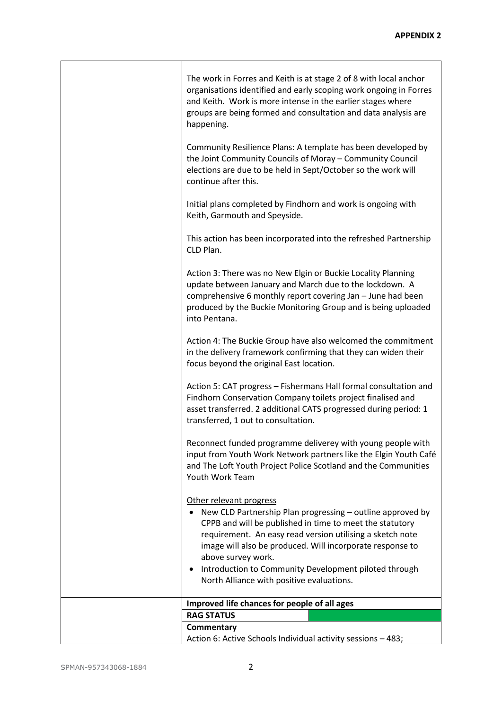| The work in Forres and Keith is at stage 2 of 8 with local anchor<br>organisations identified and early scoping work ongoing in Forres<br>and Keith. Work is more intense in the earlier stages where<br>groups are being formed and consultation and data analysis are<br>happening.<br>Community Resilience Plans: A template has been developed by<br>the Joint Community Councils of Moray - Community Council<br>elections are due to be held in Sept/October so the work will<br>continue after this. |  |  |  |
|-------------------------------------------------------------------------------------------------------------------------------------------------------------------------------------------------------------------------------------------------------------------------------------------------------------------------------------------------------------------------------------------------------------------------------------------------------------------------------------------------------------|--|--|--|
| Initial plans completed by Findhorn and work is ongoing with<br>Keith, Garmouth and Speyside.                                                                                                                                                                                                                                                                                                                                                                                                               |  |  |  |
| This action has been incorporated into the refreshed Partnership<br>CLD Plan.                                                                                                                                                                                                                                                                                                                                                                                                                               |  |  |  |
| Action 3: There was no New Elgin or Buckie Locality Planning<br>update between January and March due to the lockdown. A<br>comprehensive 6 monthly report covering Jan - June had been<br>produced by the Buckie Monitoring Group and is being uploaded<br>into Pentana.                                                                                                                                                                                                                                    |  |  |  |
| Action 4: The Buckie Group have also welcomed the commitment<br>in the delivery framework confirming that they can widen their<br>focus beyond the original East location.                                                                                                                                                                                                                                                                                                                                  |  |  |  |
| Action 5: CAT progress - Fishermans Hall formal consultation and<br>Findhorn Conservation Company toilets project finalised and<br>asset transferred. 2 additional CATS progressed during period: 1<br>transferred, 1 out to consultation.                                                                                                                                                                                                                                                                  |  |  |  |
| Reconnect funded programme deliverey with young people with<br>input from Youth Work Network partners like the Elgin Youth Café<br>and The Loft Youth Project Police Scotland and the Communities<br>Youth Work Team                                                                                                                                                                                                                                                                                        |  |  |  |
| Other relevant progress<br>New CLD Partnership Plan progressing - outline approved by<br>CPPB and will be published in time to meet the statutory<br>requirement. An easy read version utilising a sketch note<br>image will also be produced. Will incorporate response to<br>above survey work.<br>Introduction to Community Development piloted through<br>$\bullet$<br>North Alliance with positive evaluations.                                                                                        |  |  |  |
| Improved life chances for people of all ages                                                                                                                                                                                                                                                                                                                                                                                                                                                                |  |  |  |
| <b>RAG STATUS</b>                                                                                                                                                                                                                                                                                                                                                                                                                                                                                           |  |  |  |
| Commentary                                                                                                                                                                                                                                                                                                                                                                                                                                                                                                  |  |  |  |
| Action 6: Active Schools Individual activity sessions - 483;                                                                                                                                                                                                                                                                                                                                                                                                                                                |  |  |  |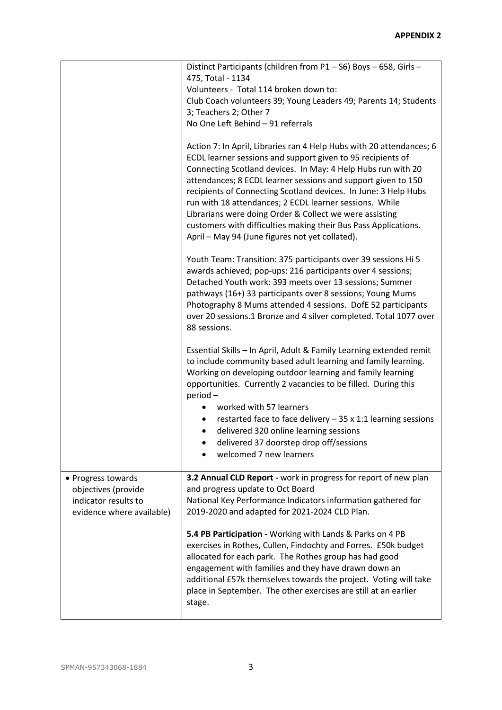|                                                                                                | Distinct Participants (children from P1-S6) Boys-658, Girls-<br>475, Total - 1134<br>Volunteers - Total 114 broken down to:<br>Club Coach volunteers 39; Young Leaders 49; Parents 14; Students<br>3; Teachers 2; Other 7<br>No One Left Behind - 91 referrals                                                                                                                                                                                                                                                                                                                      |  |  |
|------------------------------------------------------------------------------------------------|-------------------------------------------------------------------------------------------------------------------------------------------------------------------------------------------------------------------------------------------------------------------------------------------------------------------------------------------------------------------------------------------------------------------------------------------------------------------------------------------------------------------------------------------------------------------------------------|--|--|
|                                                                                                | Action 7: In April, Libraries ran 4 Help Hubs with 20 attendances; 6<br>ECDL learner sessions and support given to 95 recipients of<br>Connecting Scotland devices. In May: 4 Help Hubs run with 20<br>attendances; 8 ECDL learner sessions and support given to 150<br>recipients of Connecting Scotland devices. In June: 3 Help Hubs<br>run with 18 attendances; 2 ECDL learner sessions. While<br>Librarians were doing Order & Collect we were assisting<br>customers with difficulties making their Bus Pass Applications.<br>April - May 94 (June figures not yet collated). |  |  |
|                                                                                                | Youth Team: Transition: 375 participants over 39 sessions Hi 5<br>awards achieved; pop-ups: 216 participants over 4 sessions;<br>Detached Youth work: 393 meets over 13 sessions; Summer<br>pathways (16+) 33 participants over 8 sessions; Young Mums<br>Photography 8 Mums attended 4 sessions. DofE 52 participants<br>over 20 sessions.1 Bronze and 4 silver completed. Total 1077 over<br>88 sessions.                                                                                                                                                                         |  |  |
|                                                                                                | Essential Skills - In April, Adult & Family Learning extended remit<br>to include community based adult learning and family learning.<br>Working on developing outdoor learning and family learning<br>opportunities. Currently 2 vacancies to be filled. During this<br>period-                                                                                                                                                                                                                                                                                                    |  |  |
|                                                                                                | worked with 57 learners<br>restarted face to face delivery $-35 \times 1:1$ learning sessions<br>delivered 320 online learning sessions<br>delivered 37 doorstep drop off/sessions<br>welcomed 7 new learners                                                                                                                                                                                                                                                                                                                                                                       |  |  |
| • Progress towards<br>objectives (provide<br>indicator results to<br>evidence where available) | 3.2 Annual CLD Report - work in progress for report of new plan<br>and progress update to Oct Board<br>National Key Performance Indicators information gathered for<br>2019-2020 and adapted for 2021-2024 CLD Plan.                                                                                                                                                                                                                                                                                                                                                                |  |  |
|                                                                                                | 5.4 PB Participation - Working with Lands & Parks on 4 PB<br>exercises in Rothes, Cullen, Findochty and Forres. £50k budget<br>allocated for each park. The Rothes group has had good<br>engagement with families and they have drawn down an<br>additional £57k themselves towards the project. Voting will take<br>place in September. The other exercises are still at an earlier<br>stage.                                                                                                                                                                                      |  |  |